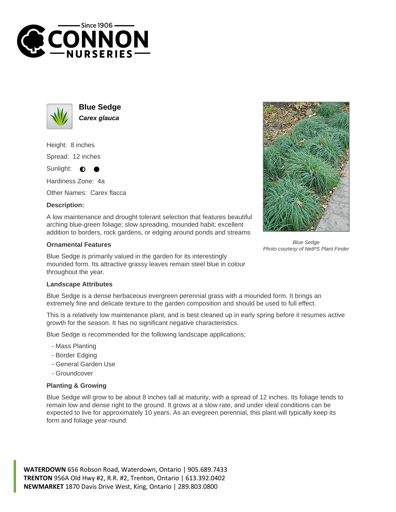



**Blue Sedge Carex glauca**

Height: 8 inches Spread: 12 inches

Sunlight:  $\bullet$ 

Hardiness Zone: 4a

Other Names: Carex flacca

## **Description:**

A low maintenance and drought tolerant selection that features beautiful arching blue-green foliage; slow spreading, mounded habit; excellent addition to borders, rock gardens, or edging around ponds and streams

## **Ornamental Features**

Blue Sedge is primarily valued in the garden for its interestingly mounded form. Its attractive grassy leaves remain steel blue in colour throughout the year.

## **Landscape Attributes**

Blue Sedge is a dense herbaceous evergreen perennial grass with a mounded form. It brings an extremely fine and delicate texture to the garden composition and should be used to full effect.

This is a relatively low maintenance plant, and is best cleaned up in early spring before it resumes active growth for the season. It has no significant negative characteristics.

Blue Sedge is recommended for the following landscape applications;

- Mass Planting
- Border Edging
- General Garden Use
- Groundcover

## **Planting & Growing**

Blue Sedge will grow to be about 8 inches tall at maturity, with a spread of 12 inches. Its foliage tends to remain low and dense right to the ground. It grows at a slow rate, and under ideal conditions can be expected to live for approximately 10 years. As an evegreen perennial, this plant will typically keep its form and foliage year-round.

**WATERDOWN** 656 Robson Road, Waterdown, Ontario | 905.689.7433 **TRENTON** 956A Old Hwy #2, R.R. #2, Trenton, Ontario | 613.392.0402 **NEWMARKET** 1870 Davis Drive West, King, Ontario | 289.803.0800



Blue Sedge Photo courtesy of NetPS Plant Finder